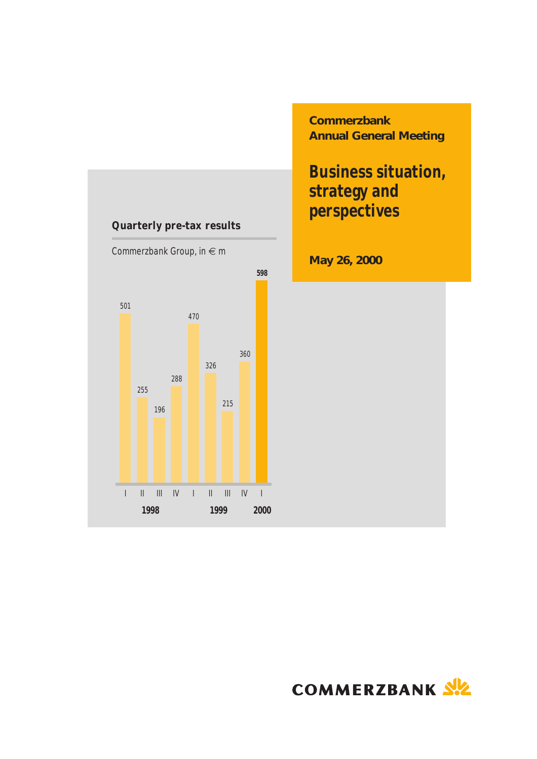

**Commerzbank Annual General Meeting**

# **Business situation, strategy and perspectives**

**May 26, 2000**

COMMERZBANK SIZ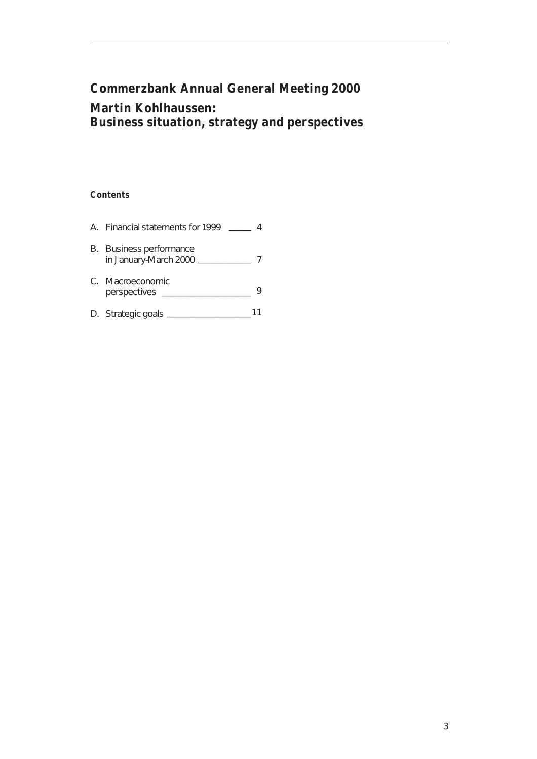## **Commerzbank Annual General Meeting 2000 Martin Kohlhaussen: Business situation, strategy and perspectives**

#### **Contents**

| A. Financial statements for 1999                 |  |
|--------------------------------------------------|--|
| B. Business performance<br>in January-March 2000 |  |
| C. Macroeconomic<br>perspectives                 |  |
| D. Strategic goals                               |  |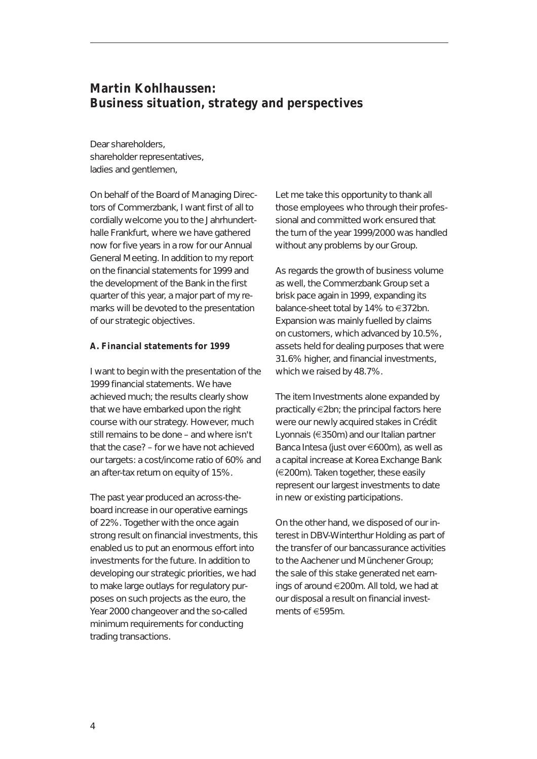### **Martin Kohlhaussen: Business situation, strategy and perspectives**

Dear shareholders, shareholder representatives, ladies and gentlemen,

On behalf of the Board of Managing Directors of Commerzbank, I want first of all to cordially welcome you to the Jahrhunderthalle Frankfurt, where we have gathered now for five years in a row for our Annual General Meeting. In addition to my report on the financial statements for 1999 and the development of the Bank in the first quarter of this year, a major part of my remarks will be devoted to the presentation of our strategic objectives.

#### **A. Financial statements for 1999**

I want to begin with the presentation of the 1999 financial statements. We have achieved much; the results clearly show that we have embarked upon the right course with our strategy. However, much still remains to be done – and where isn't that the case? – for we have not achieved our targets: a cost/income ratio of 60% and an after-tax return on equity of 15%.

The past year produced an across-theboard increase in our operative earnings of 22%. Together with the once again strong result on financial investments, this enabled us to put an enormous effort into investments for the future. In addition to developing our strategic priorities, we had to make large outlays for regulatory purposes on such projects as the euro, the Year 2000 changeover and the so-called minimum requirements for conducting trading transactions.

Let me take this opportunity to thank all those employees who through their professional and committed work ensured that the turn of the year 1999/2000 was handled without any problems by our Group.

As regards the growth of business volume as well, the Commerzbank Group set a brisk pace again in 1999, expanding its balance-sheet total by 14% to  $\in$ 372bn. Expansion was mainly fuelled by claims on customers, which advanced by 10.5%, assets held for dealing purposes that were 31.6% higher, and financial investments, which we raised by 48.7%.

The item Investments alone expanded by  $practically \in 2bn$ ; the principal factors here were our newly acquired stakes in Crédit Lyonnais ( $\in$ 350m) and our Italian partner Banca Intesa (just over  $\epsilon$ 600m), as well as a capital increase at Korea Exchange Bank  $(\in 200m)$ . Taken together, these easily represent our largest investments to date in new or existing participations.

On the other hand, we disposed of our interest in DBV-Winterthur Holding as part of the transfer of our bancassurance activities to the Aachener und Münchener Group; the sale of this stake generated net earnings of around €200m. All told, we had at our disposal a result on financial investments of e595m.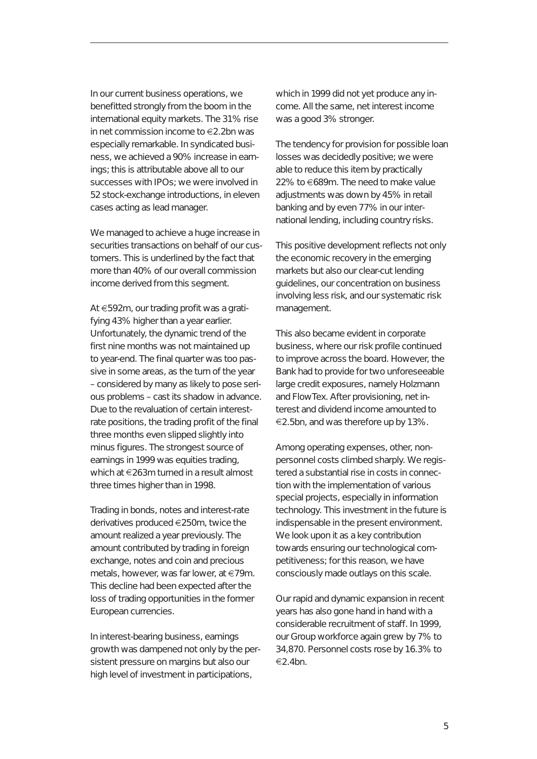In our current business operations, we benefitted strongly from the boom in the international equity markets. The 31% rise in net commission income to  $\in$ 2.2bn was especially remarkable. In syndicated business, we achieved a 90% increase in earnings; this is attributable above all to our successes with IPOs; we were involved in 52 stock-exchange introductions, in eleven cases acting as lead manager.

We managed to achieve a huge increase in securities transactions on behalf of our customers. This is underlined by the fact that more than 40% of our overall commission income derived from this segment.

At €592m, our trading profit was a gratifying 43% higher than a year earlier. Unfortunately, the dynamic trend of the first nine months was not maintained up to year-end. The final quarter was too passive in some areas, as the turn of the year – considered by many as likely to pose serious problems – cast its shadow in advance. Due to the revaluation of certain interestrate positions, the trading profit of the final three months even slipped slightly into minus figures. The strongest source of earnings in 1999 was equities trading, which at  $\epsilon$ 263m turned in a result almost three times higher than in 1998.

Trading in bonds, notes and interest-rate derivatives produced €250m, twice the amount realized a year previously. The amount contributed by trading in foreign exchange, notes and coin and precious metals, however, was far lower, at  $\in$ 79m. This decline had been expected after the loss of trading opportunities in the former European currencies.

In interest-bearing business, earnings growth was dampened not only by the persistent pressure on margins but also our high level of investment in participations,

which in 1999 did not yet produce any income. All the same, net interest income was a good 3% stronger.

The tendency for provision for possible loan losses was decidedly positive; we were able to reduce this item by practically 22% to  $€689m$ . The need to make value adjustments was down by 45% in retail banking and by even 77% in our international lending, including country risks.

This positive development reflects not only the economic recovery in the emerging markets but also our clear-cut lending guidelines, our concentration on business involving less risk, and our systematic risk management.

This also became evident in corporate business, where our risk profile continued to improve across the board. However, the Bank had to provide for two unforeseeable large credit exposures, namely Holzmann and FlowTex. After provisioning, net interest and dividend income amounted to  $\in$ 2.5bn, and was therefore up by 13%.

Among operating expenses, other, nonpersonnel costs climbed sharply. We registered a substantial rise in costs in connection with the implementation of various special projects, especially in information technology. This investment in the future is indispensable in the present environment. We look upon it as a key contribution towards ensuring our technological competitiveness; for this reason, we have consciously made outlays on this scale.

Our rapid and dynamic expansion in recent years has also gone hand in hand with a considerable recruitment of staff. In 1999, our Group workforce again grew by 7% to 34,870. Personnel costs rose by 16.3% to  $\epsilon$ 2.4hn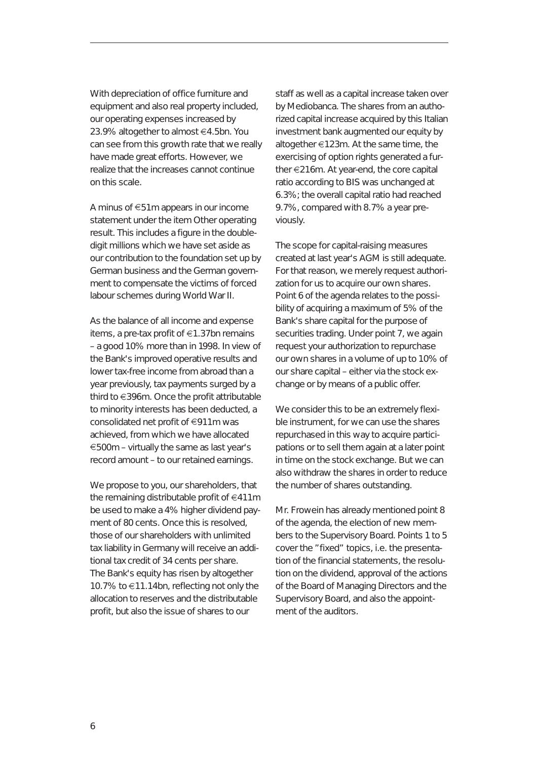With depreciation of office furniture and equipment and also real property included, our operating expenses increased by 23.9% altogether to almost €4.5bn. You can see from this growth rate that we really have made great efforts. However, we realize that the increases cannot continue on this scale.

A minus of  $\epsilon$ 51m appears in our income statement under the item Other operating result. This includes a figure in the doubledigit millions which we have set aside as our contribution to the foundation set up by German business and the German government to compensate the victims of forced labour schemes during World War II.

As the balance of all income and expense items, a pre-tax profit of  $\epsilon$ 1.37bn remains – a good 10% more than in 1998. In view of the Bank's improved operative results and lower tax-free income from abroad than a year previously, tax payments surged by a third to  $\in$ 396m. Once the profit attributable to minority interests has been deducted, a consolidated net profit of  $\in$ 911m was achieved, from which we have allocated  $\epsilon$ 500m – virtually the same as last year's record amount – to our retained earnings.

We propose to you, our shareholders, that the remaining distributable profit of  $\in$ 411m be used to make a 4% higher dividend payment of 80 cents. Once this is resolved, those of our shareholders with unlimited tax liability in Germany will receive an additional tax credit of 34 cents per share. The Bank's equity has risen by altogether 10.7% to €11.14bn, reflecting not only the allocation to reserves and the distributable profit, but also the issue of shares to our

staff as well as a capital increase taken over by Mediobanca. The shares from an authorized capital increase acquired by this Italian investment bank augmented our equity by altogether  $\epsilon$ 123m. At the same time, the exercising of option rights generated a further  $\epsilon$ 216m. At year-end, the core capital ratio according to BIS was unchanged at 6.3%; the overall capital ratio had reached 9.7%, compared with 8.7% a year previously.

The scope for capital-raising measures created at last year's AGM is still adequate. For that reason, we merely request authorization for us to acquire our own shares. Point 6 of the agenda relates to the possibility of acquiring a maximum of 5% of the Bank's share capital for the purpose of securities trading. Under point 7, we again request your authorization to repurchase our own shares in a volume of up to 10% of our share capital – either via the stock exchange or by means of a public offer.

We consider this to be an extremely flexible instrument, for we can use the shares repurchased in this way to acquire participations or to sell them again at a later point in time on the stock exchange. But we can also withdraw the shares in order to reduce the number of shares outstanding.

Mr. Frowein has already mentioned point 8 of the agenda, the election of new members to the Supervisory Board. Points 1 to 5 cover the "fixed" topics, i.e. the presentation of the financial statements, the resolution on the dividend, approval of the actions of the Board of Managing Directors and the Supervisory Board, and also the appointment of the auditors.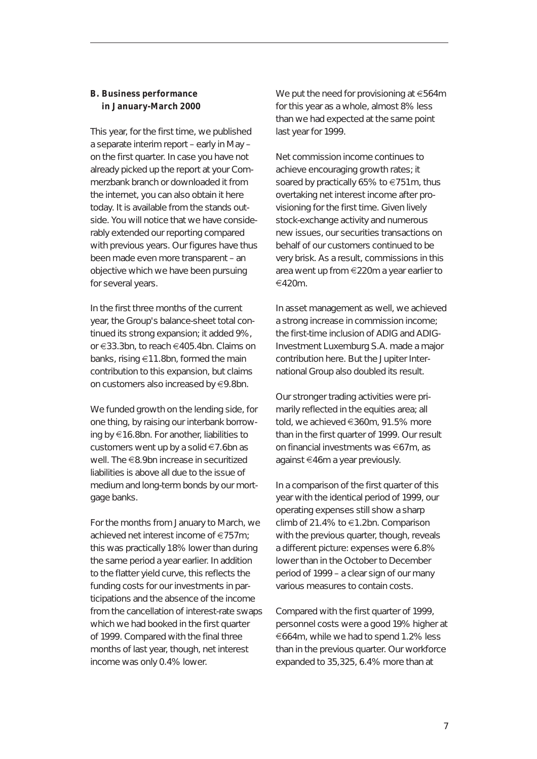#### **B. Business performance in January-March 2000**

This year, for the first time, we published a separate interim report – early in May – on the first quarter. In case you have not already picked up the report at your Commerzbank branch or downloaded it from the internet, you can also obtain it here today. It is available from the stands outside. You will notice that we have considerably extended our reporting compared with previous years. Our figures have thus been made even more transparent – an objective which we have been pursuing for several years.

In the first three months of the current year, the Group's balance-sheet total continued its strong expansion; it added 9%, or <sup>e</sup>33.3bn, to reach e405.4bn. Claims on banks, rising  $\epsilon$ 11.8bn, formed the main contribution to this expansion, but claims on customers also increased by  $\in$ 9.8bn.

We funded growth on the lending side, for one thing, by raising our interbank borrowing by e16.8bn. For another, liabilities to customers went up by a solid  $\in$  7.6bn as well. The  $\in$ 8.9bn increase in securitized liabilities is above all due to the issue of medium and long-term bonds by our mortgage banks.

For the months from January to March, we achieved net interest income of  $\epsilon$ 757m; this was practically 18% lower than during the same period a year earlier. In addition to the flatter yield curve, this reflects the funding costs for our investments in participations and the absence of the income from the cancellation of interest-rate swaps which we had booked in the first quarter of 1999. Compared with the final three months of last year, though, net interest income was only 0.4% lower.

We put the need for provisioning at  $\epsilon$ 564m for this year as a whole, almost 8% less than we had expected at the same point last year for 1999.

Net commission income continues to achieve encouraging growth rates; it soared by practically 65% to  $\epsilon$ 751m, thus overtaking net interest income after provisioning for the first time. Given lively stock-exchange activity and numerous new issues, our securities transactions on behalf of our customers continued to be very brisk. As a result, commissions in this area went up from €220m a year earlier to  $€420m$ .

In asset management as well, we achieved a strong increase in commission income; the first-time inclusion of ADIG and ADIG-Investment Luxemburg S.A. made a major contribution here. But the Jupiter International Group also doubled its result.

Our stronger trading activities were primarily reflected in the equities area; all told, we achieved €360m, 91.5% more than in the first quarter of 1999. Our result on financial investments was  $\epsilon$ 67m, as against  $\epsilon$ 46m a year previously.

In a comparison of the first quarter of this year with the identical period of 1999, our operating expenses still show a sharp climb of 21.4% to  $\in$ 1.2bn. Comparison with the previous quarter, though, reveals a different picture: expenses were 6.8% lower than in the October to December period of 1999 – a clear sign of our many various measures to contain costs.

Compared with the first quarter of 1999, personnel costs were a good 19% higher at <sup>e</sup>664m, while we had to spend 1.2% less than in the previous quarter. Our workforce expanded to 35,325, 6.4% more than at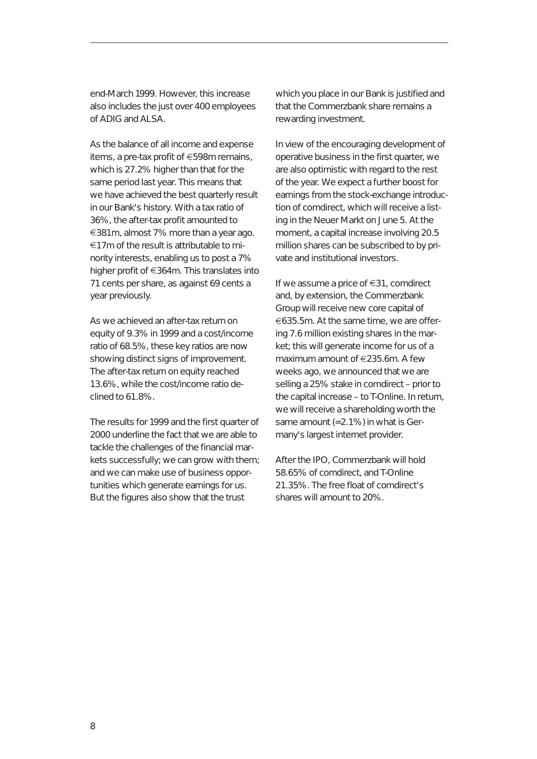end-March 1999. However, this increase also includes the just over 400 employees of ADIG and ALSA.

As the balance of all income and expense items, a pre-tax profit of  $\epsilon$ 598m remains, which is 27.2% higher than that for the same period last year. This means that we have achieved the best quarterly result in our Bank's history. With a tax ratio of 36%, the after-tax profit amounted to  $\epsilon$ 381m, almost 7% more than a year ago.  $\epsilon$ 17m of the result is attributable to minority interests, enabling us to post a 7% higher profit of  $\in$ 364m. This translates into 71 cents per share, as against 69 cents a year previously.

As we achieved an after-tax return on equity of 9.3% in 1999 and a cost/income ratio of 68.5%, these key ratios are now showing distinct signs of improvement. The after-tax return on equity reached 13.6%, while the cost/income ratio declined to 61.8%.

The results for 1999 and the first quarter of 2000 underline the fact that we are able to tackle the challenges of the financial markets successfully; we can grow with them; and we can make use of business opportunities which generate earnings for us. But the figures also show that the trust

which you place in our Bank is justified and that the Commerzbank share remains a rewarding investment.

In view of the encouraging development of operative business in the first quarter, we are also optimistic with regard to the rest of the year. We expect a further boost for earnings from the stock-exchange introduction of comdirect, which will receive a listing in the Neuer Markt on June 5. At the moment, a capital increase involving 20.5 million shares can be subscribed to by private and institutional investors.

If we assume a price of  $\in$  31, comdirect and, by extension, the Commerzbank Group will receive new core capital of €635.5m. At the same time, we are offering 7.6 million existing shares in the market; this will generate income for us of a maximum amount of  $\epsilon$ 235.6m. A few weeks ago, we announced that we are selling a 25% stake in comdirect – prior to the capital increase – to T-Online. In return, we will receive a shareholding worth the same amount (=2.1%) in what is Germany's largest internet provider.

After the IPO, Commerzbank will hold 58.65% of comdirect, and T-Online 21.35%. The free float of comdirect's shares will amount to 20%.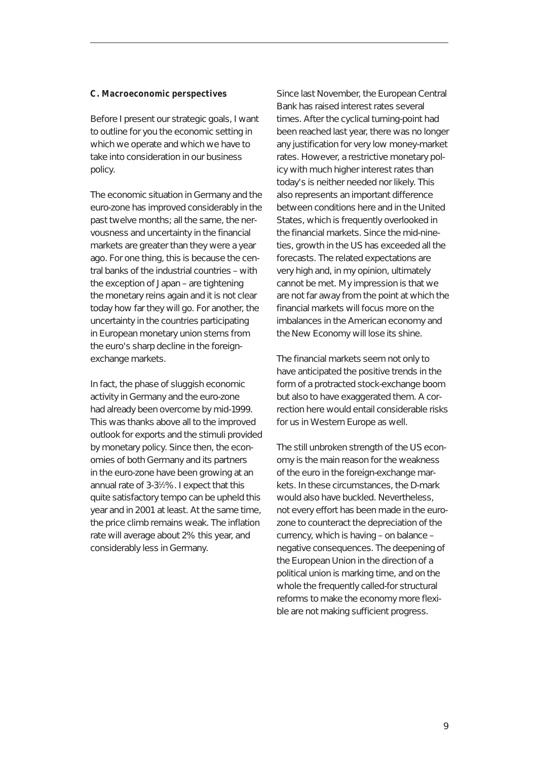#### **C. Macroeconomic perspectives**

Before I present our strategic goals, I want to outline for you the economic setting in which we operate and which we have to take into consideration in our business policy.

The economic situation in Germany and the euro-zone has improved considerably in the past twelve months; all the same, the nervousness and uncertainty in the financial markets are greater than they were a year ago. For one thing, this is because the central banks of the industrial countries – with the exception of Japan – are tightening the monetary reins again and it is not clear today how far they will go. For another, the uncertainty in the countries participating in European monetary union stems from the euro's sharp decline in the foreignexchange markets.

In fact, the phase of sluggish economic activity in Germany and the euro-zone had already been overcome by mid-1999. This was thanks above all to the improved outlook for exports and the stimuli provided by monetary policy. Since then, the economies of both Germany and its partners in the euro-zone have been growing at an annual rate of 3-31 ⁄2%. I expect that this quite satisfactory tempo can be upheld this year and in 2001 at least. At the same time, the price climb remains weak. The inflation rate will average about 2% this year, and considerably less in Germany.

Since last November, the European Central Bank has raised interest rates several times. After the cyclical turning-point had been reached last year, there was no longer any justification for very low money-market rates. However, a restrictive monetary policy with much higher interest rates than today's is neither needed nor likely. This also represents an important difference between conditions here and in the United States, which is frequently overlooked in the financial markets. Since the mid-nineties, growth in the US has exceeded all the forecasts. The related expectations are very high and, in my opinion, ultimately cannot be met. My impression is that we are not far away from the point at which the financial markets will focus more on the imbalances in the American economy and the New Economy will lose its shine.

The financial markets seem not only to have anticipated the positive trends in the form of a protracted stock-exchange boom but also to have exaggerated them. A correction here would entail considerable risks for us in Western Europe as well.

The still unbroken strength of the US economy is the main reason for the weakness of the euro in the foreign-exchange markets. In these circumstances, the D-mark would also have buckled. Nevertheless, not every effort has been made in the eurozone to counteract the depreciation of the currency, which is having – on balance – negative consequences. The deepening of the European Union in the direction of a political union is marking time, and on the whole the frequently called-for structural reforms to make the economy more flexible are not making sufficient progress.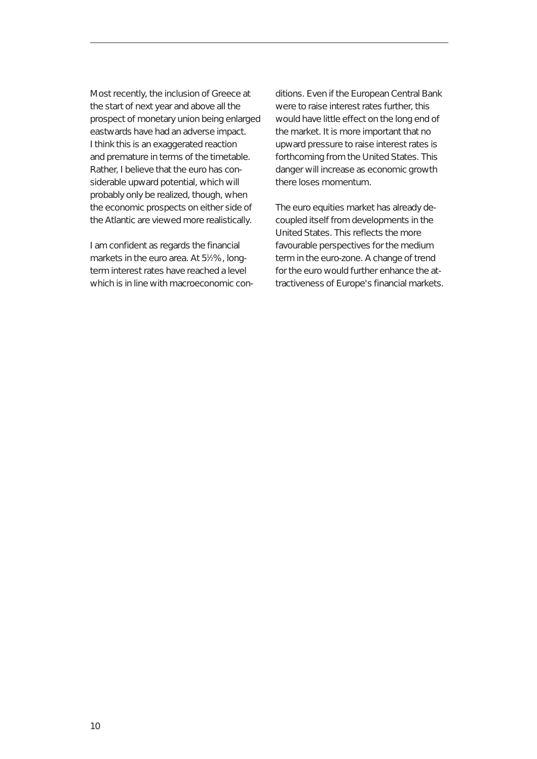Most recently, the inclusion of Greece at the start of next year and above all the prospect of monetary union being enlarged eastwards have had an adverse impact. I think this is an exaggerated reaction and premature in terms of the timetable. Rather, I believe that the euro has considerable upward potential, which will probably only be realized, though, when the economic prospects on either side of the Atlantic are viewed more realistically.

I am confident as regards the financial markets in the euro area. At 5<sup>1</sup>/<sub>2</sub>%, longterm interest rates have reached a level which is in line with macroeconomic conditions. Even if the European Central Bank were to raise interest rates further, this would have little effect on the long end of the market. It is more important that no upward pressure to raise interest rates is forthcoming from the United States. This danger will increase as economic growth there loses momentum.

The euro equities market has already decoupled itself from developments in the United States. This reflects the more favourable perspectives for the medium term in the euro-zone. A change of trend for the euro would further enhance the attractiveness of Europe's financial markets.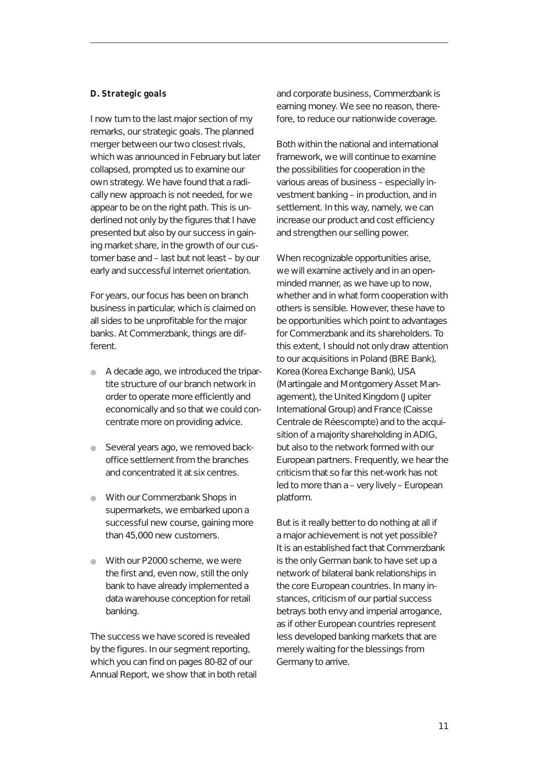#### **D. Strategic goals**

I now turn to the last major section of my remarks, our strategic goals. The planned merger between our two closest rivals, which was announced in February but later collapsed, prompted us to examine our own strategy. We have found that a radically new approach is not needed, for we appear to be on the right path. This is underlined not only by the figures that I have presented but also by our success in gaining market share, in the growth of our customer base and – last but not least – by our early and successful internet orientation.

For years, our focus has been on branch business in particular, which is claimed on all sides to be unprofitable for the major banks. At Commerzbank, things are different.

- A decade ago, we introduced the tripartite structure of our branch network in order to operate more efficiently and economically and so that we could concentrate more on providing advice.
- **•** Several years ago, we removed backoffice settlement from the branches and concentrated it at six centres.
- With our Commerzbank Shops in supermarkets, we embarked upon a successful new course, gaining more than 45,000 new customers.
- With our P2000 scheme, we were the first and, even now, still the only bank to have already implemented a data warehouse conception for retail banking.

The success we have scored is revealed by the figures. In our segment reporting, which you can find on pages 80-82 of our Annual Report, we show that in both retail and corporate business, Commerzbank is earning money. We see no reason, therefore, to reduce our nationwide coverage.

Both within the national and international framework, we will continue to examine the possibilities for cooperation in the various areas of business – especially investment banking – in production, and in settlement. In this way, namely, we can increase our product and cost efficiency and strengthen our selling power.

When recognizable opportunities arise, we will examine actively and in an openminded manner, as we have up to now, whether and in what form cooperation with others is sensible. However, these have to be opportunities which point to advantages for Commerzbank and its shareholders. To this extent, I should not only draw attention to our acquisitions in Poland (BRE Bank), Korea (Korea Exchange Bank), USA (Martingale and Montgomery Asset Management), the United Kingdom (Jupiter International Group) and France (Caisse Centrale de Réescompte) and to the acquisition of a majority shareholding in ADIG, but also to the network formed with our European partners. Frequently, we hear the criticism that so far this net-work has not led to more than a – very lively – European platform.

But is it really better to do nothing at all if a major achievement is not yet possible? It is an established fact that Commerzbank is the only German bank to have set up a network of bilateral bank relationships in the core European countries. In many instances, criticism of our partial success betrays both envy and imperial arrogance, as if other European countries represent less developed banking markets that are merely waiting for the blessings from Germany to arrive.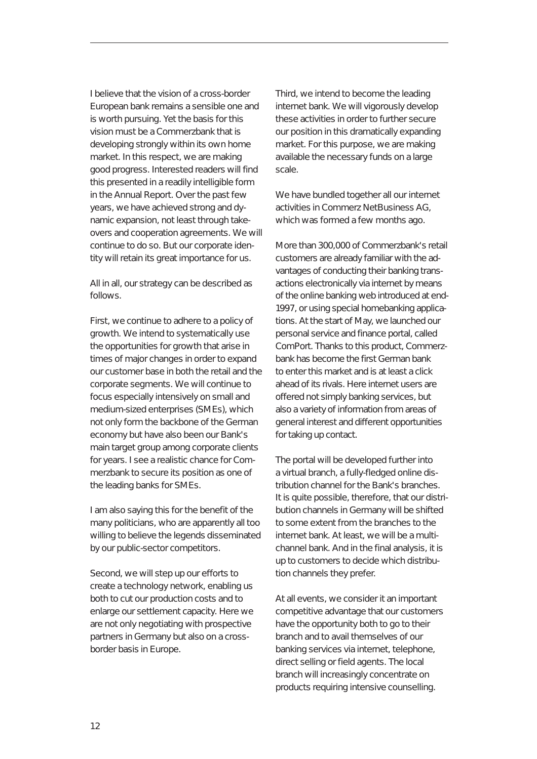I believe that the vision of a cross-border European bank remains a sensible one and is worth pursuing. Yet the basis for this vision must be a Commerzbank that is developing strongly within its own home market. In this respect, we are making good progress. Interested readers will find this presented in a readily intelligible form in the Annual Report. Over the past few years, we have achieved strong and dynamic expansion, not least through takeovers and cooperation agreements. We will continue to do so. But our corporate identity will retain its great importance for us.

All in all, our strategy can be described as follows.

First, we continue to adhere to a policy of growth. We intend to systematically use the opportunities for growth that arise in times of major changes in order to expand our customer base in both the retail and the corporate segments. We will continue to focus especially intensively on small and medium-sized enterprises (SMEs), which not only form the backbone of the German economy but have also been our Bank's main target group among corporate clients for years. I see a realistic chance for Commerzbank to secure its position as one of the leading banks for SMEs.

I am also saying this for the benefit of the many politicians, who are apparently all too willing to believe the legends disseminated by our public-sector competitors.

Second, we will step up our efforts to create a technology network, enabling us both to cut our production costs and to enlarge our settlement capacity. Here we are not only negotiating with prospective partners in Germany but also on a crossborder basis in Europe.

Third, we intend to become the leading internet bank. We will vigorously develop these activities in order to further secure our position in this dramatically expanding market. For this purpose, we are making available the necessary funds on a large scale.

We have bundled together all our internet activities in Commerz NetBusiness AG, which was formed a few months ago.

More than 300,000 of Commerzbank's retail customers are already familiar with the advantages of conducting their banking transactions electronically via internet by means of the online banking web introduced at end-1997, or using special homebanking applications. At the start of May, we launched our personal service and finance portal, called ComPort. Thanks to this product, Commerzbank has become the first German bank to enter this market and is at least a click ahead of its rivals. Here internet users are offered not simply banking services, but also a variety of information from areas of general interest and different opportunities for taking up contact.

The portal will be developed further into a virtual branch, a fully-fledged online distribution channel for the Bank's branches. It is quite possible, therefore, that our distribution channels in Germany will be shifted to some extent from the branches to the internet bank. At least, we will be a multichannel bank. And in the final analysis, it is up to customers to decide which distribution channels they prefer.

At all events, we consider it an important competitive advantage that our customers have the opportunity both to go to their branch and to avail themselves of our banking services via internet, telephone, direct selling or field agents. The local branch will increasingly concentrate on products requiring intensive counselling.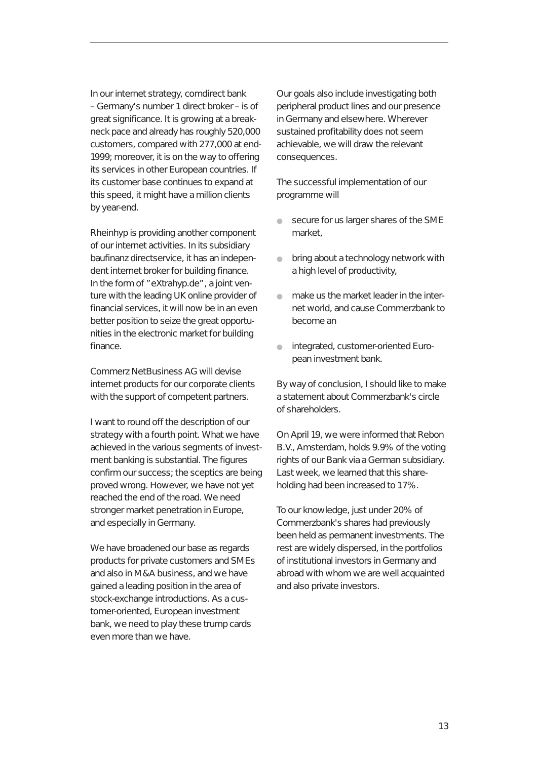In our internet strategy, comdirect bank – Germany's number 1 direct broker – is of great significance. It is growing at a breakneck pace and already has roughly 520,000 customers, compared with 277,000 at end-1999; moreover, it is on the way to offering its services in other European countries. If its customer base continues to expand at this speed, it might have a million clients by year-end.

Rheinhyp is providing another component of our internet activities. In its subsidiary baufinanz directservice, it has an independent internet broker for building finance. In the form of "eXtrahyp.de", a joint venture with the leading UK online provider of financial services, it will now be in an even better position to seize the great opportunities in the electronic market for building finance.

Commerz NetBusiness AG will devise internet products for our corporate clients with the support of competent partners.

I want to round off the description of our strategy with a fourth point. What we have achieved in the various segments of investment banking is substantial. The figures confirm our success; the sceptics are being proved wrong. However, we have not yet reached the end of the road. We need stronger market penetration in Europe, and especially in Germany.

We have broadened our base as regards products for private customers and SMEs and also in M&A business, and we have gained a leading position in the area of stock-exchange introductions. As a customer-oriented, European investment bank, we need to play these trump cards even more than we have.

Our goals also include investigating both peripheral product lines and our presence in Germany and elsewhere. Wherever sustained profitability does not seem achievable, we will draw the relevant consequences.

The successful implementation of our programme will

- secure for us larger shares of the SME market,
- bring about a technology network with a high level of productivity,
- make us the market leader in the internet world, and cause Commerzbank to become an
- integrated, customer-oriented European investment bank.

By way of conclusion, I should like to make a statement about Commerzbank's circle of shareholders.

On April 19, we were informed that Rebon B.V., Amsterdam, holds 9.9% of the voting rights of our Bank via a German subsidiary. Last week, we learned that this shareholding had been increased to 17%.

To our knowledge, just under 20% of Commerzbank's shares had previously been held as permanent investments. The rest are widely dispersed, in the portfolios of institutional investors in Germany and abroad with whom we are well acquainted and also private investors.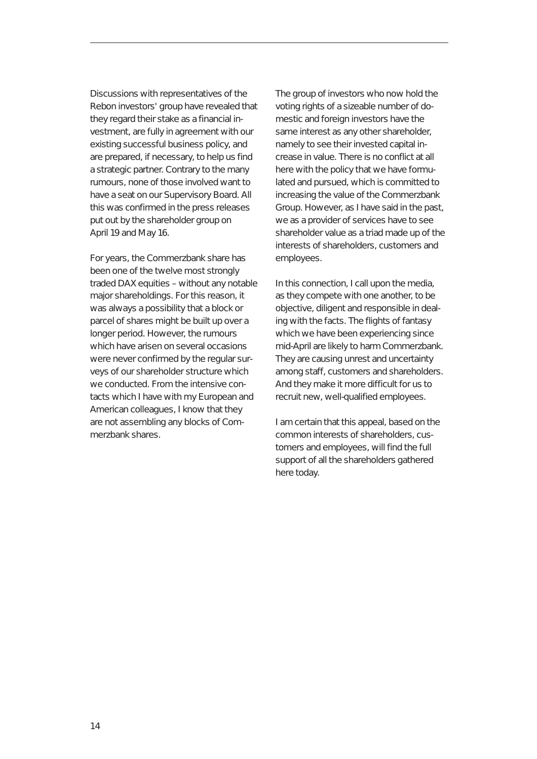Discussions with representatives of the Rebon investors' group have revealed that they regard their stake as a financial investment, are fully in agreement with our existing successful business policy, and are prepared, if necessary, to help us find a strategic partner. Contrary to the many rumours, none of those involved want to have a seat on our Supervisory Board. All this was confirmed in the press releases put out by the shareholder group on April 19 and May 16.

For years, the Commerzbank share has been one of the twelve most strongly traded DAX equities – without any notable major shareholdings. For this reason, it was always a possibility that a block or parcel of shares might be built up over a longer period. However, the rumours which have arisen on several occasions were never confirmed by the regular surveys of our shareholder structure which we conducted. From the intensive contacts which I have with my European and American colleagues, I know that they are not assembling any blocks of Commerzbank shares.

The group of investors who now hold the voting rights of a sizeable number of domestic and foreign investors have the same interest as any other shareholder, namely to see their invested capital increase in value. There is no conflict at all here with the policy that we have formulated and pursued, which is committed to increasing the value of the Commerzbank Group. However, as I have said in the past, we as a provider of services have to see shareholder value as a triad made up of the interests of shareholders, customers and employees.

In this connection, I call upon the media, as they compete with one another, to be objective, diligent and responsible in dealing with the facts. The flights of fantasy which we have been experiencing since mid-April are likely to harm Commerzbank. They are causing unrest and uncertainty among staff, customers and shareholders. And they make it more difficult for us to recruit new, well-qualified employees.

I am certain that this appeal, based on the common interests of shareholders, customers and employees, will find the full support of all the shareholders gathered here today.